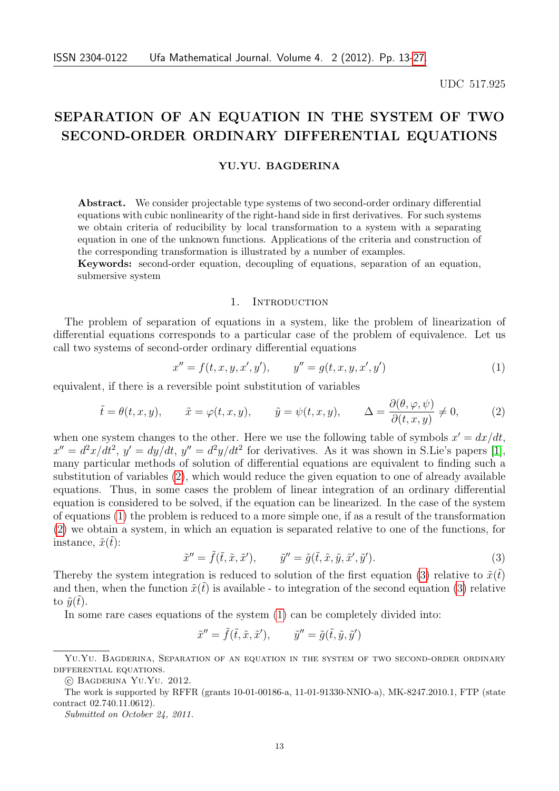#### UDC 517.925

# SEPARATION OF AN EQUATION IN THE SYSTEM OF TWO SECOND-ORDER ORDINARY DIFFERENTIAL EQUATIONS

#### YU.YU. BAGDERINA

Abstract. We consider projectable type systems of two second-order ordinary differential equations with cubic nonlinearity of the right-hand side in first derivatives. For such systems we obtain criteria of reducibility by local transformation to a system with a separating equation in one of the unknown functions. Applications of the criteria and construction of the corresponding transformation is illustrated by a number of examples.

Keywords: second-order equation, decoupling of equations, separation of an equation, submersive system

## 1. INTRODUCTION

The problem of separation of equations in a system, like the problem of linearization of differential equations corresponds to a particular case of the problem of equivalence. Let us call two systems of second-order ordinary differential equations

<span id="page-0-1"></span>
$$
x'' = f(t, x, y, x', y'), \qquad y'' = g(t, x, y, x', y')
$$
 (1)

equivalent, if there is a reversible point substitution of variables

<span id="page-0-0"></span>
$$
\tilde{t} = \theta(t, x, y),
$$
  $\tilde{x} = \varphi(t, x, y),$   $\tilde{y} = \psi(t, x, y),$   $\Delta = \frac{\partial(\theta, \varphi, \psi)}{\partial(t, x, y)} \neq 0,$  (2)

when one system changes to the other. Here we use the following table of symbols  $x' = dx/dt$ ,  $x'' = d^2x/dt^2$ ,  $y' = dy/dt$ ,  $y'' = d^2y/dt^2$  for derivatives. As it was shown in S.Lie's papers [\[1\]](#page-13-0), many particular methods of solution of differential equations are equivalent to finding such a substitution of variables [\(2\)](#page-0-0), which would reduce the given equation to one of already available equations. Thus, in some cases the problem of linear integration of an ordinary differential equation is considered to be solved, if the equation can be linearized. In the case of the system of equations [\(1\)](#page-0-1) the problem is reduced to a more simple one, if as a result of the transformation [\(2\)](#page-0-0) we obtain a system, in which an equation is separated relative to one of the functions, for instance,  $\tilde{x}(\tilde{t})$ :

<span id="page-0-2"></span>
$$
\tilde{x}'' = \tilde{f}(\tilde{t}, \tilde{x}, \tilde{x}'), \qquad \tilde{y}'' = \tilde{g}(\tilde{t}, \tilde{x}, \tilde{y}, \tilde{x}', \tilde{y}'). \tag{3}
$$

Thereby the system integration is reduced to solution of the first equation [\(3\)](#page-0-2) relative to  $\tilde{x}(t)$ and then, when the function  $\tilde{x}(\tilde{t})$  is available - to integration of the second equation [\(3\)](#page-0-2) relative to  $\tilde{u}(t)$ .

In some rare cases equations of the system [\(1\)](#page-0-1) can be completely divided into:

$$
\tilde{x}'' = \tilde{f}(\tilde{t}, \tilde{x}, \tilde{x}'), \qquad \tilde{y}'' = \tilde{g}(\tilde{t}, \tilde{y}, \tilde{y}')
$$

Yu.Yu. Bagderina, Separation of an equation in the system of two second-order ordinary differential equations.

<sup>○</sup>c Bagderina Yu.Yu. 2012.

The work is supported by RFFR (grants 10-01-00186-a, 11-01-91330-NNIO-a), MK-8247.2010.1, FTP (state contract 02.740.11.0612).

Submitted on October 24, 2011.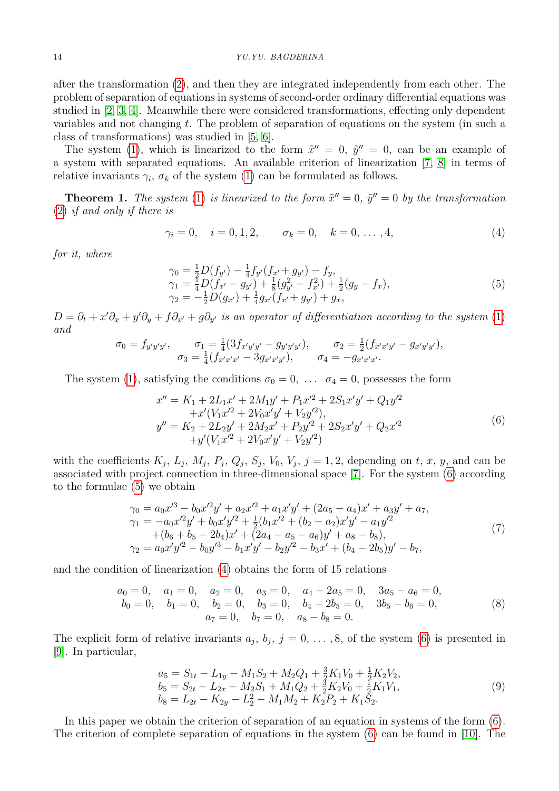after the transformation [\(2\)](#page-0-0), and then they are integrated independently from each other. The problem of separation of equations in systems of second-order ordinary differential equations was studied in [\[2,](#page-13-1) [3,](#page-13-2) [4\]](#page-13-3). Meanwhile there were considered transformations, effecting only dependent variables and not changing  $t$ . The problem of separation of equations on the system (in such a class of transformations) was studied in [\[5,](#page-13-4) [6\]](#page-13-5).

The system [\(1\)](#page-0-1), which is linearized to the form  $\tilde{x}'' = 0$ ,  $\tilde{y}'' = 0$ , can be an example of a system with separated equations. An available criterion of linearization [\[7,](#page-14-1) [8\]](#page-14-2) in terms of relative invariants  $\gamma_i$ ,  $\sigma_k$  of the system [\(1\)](#page-0-1) can be formulated as follows.

**Theorem 1.** The system [\(1\)](#page-0-1) is linearized to the form  $\tilde{x}'' = 0$ ,  $\tilde{y}'' = 0$  by the transformation [\(2\)](#page-0-0) if and only if there is

<span id="page-1-2"></span>
$$
\gamma_i = 0, \quad i = 0, 1, 2, \qquad \sigma_k = 0, \quad k = 0, \ldots, 4,
$$
\n(4)

for it, where

<span id="page-1-1"></span>
$$
\gamma_0 = \frac{1}{2} D(f_{y'}) - \frac{1}{4} f_{y'} (f_{x'} + g_{y'}) - f_y, \n\gamma_1 = \frac{1}{4} D(f_{x'} - g_{y'}) + \frac{1}{8} (g_{y'}^2 - f_{x'}^2) + \frac{1}{2} (g_y - f_x), \n\gamma_2 = -\frac{1}{2} D(g_{x'}) + \frac{1}{4} g_{x'} (f_{x'} + g_{y'}) + g_x,
$$
\n(5)

 $D = \partial_t + x'\partial_x + y'\partial_y + f\partial_{x'} + g\partial_{y'}$  is an operator of differentiation according to the system [\(1\)](#page-0-1) and

$$
\sigma_0 = f_{y'y'y'}, \quad \sigma_1 = \frac{1}{4}(3f_{x'y'y'} - g_{y'y'y'}), \quad \sigma_2 = \frac{1}{2}(f_{x'x'y'} - g_{x'y'y'}), \n\sigma_3 = \frac{1}{4}(f_{x'x'x'} - 3g_{x'x'y'}), \quad \sigma_4 = -g_{x'x'x'}.
$$

The system [\(1\)](#page-0-1), satisfying the conditions  $\sigma_0 = 0, \ldots, \sigma_4 = 0$ , possesses the form

<span id="page-1-0"></span>
$$
x'' = K_1 + 2L_1x' + 2M_1y' + P_1x'^2 + 2S_1x'y' + Q_1y'^2 + x'(V_1x'^2 + 2V_0x'y' + V_2y'^2),y'' = K_2 + 2L_2y' + 2M_2x' + P_2y'^2 + 2S_2x'y' + Q_2x'^2 + y'(V_1x'^2 + 2V_0x'y' + V_2y'^2)
$$
 (6)

with the coefficients  $K_j$ ,  $L_j$ ,  $M_j$ ,  $P_j$ ,  $Q_j$ ,  $S_j$ ,  $V_0$ ,  $V_j$ ,  $j = 1, 2$ , depending on t, x, y, and can be associated with project connection in three-dimensional space [\[7\]](#page-14-1). For the system [\(6\)](#page-1-0) according to the formulae [\(5\)](#page-1-1) we obtain

$$
\gamma_0 = a_0 x'^3 - b_0 x'^2 y' + a_2 x'^2 + a_1 x' y' + (2a_5 - a_4) x' + a_3 y' + a_7,\n\gamma_1 = -a_0 x'^2 y' + b_0 x' y'^2 + \frac{1}{2} (b_1 x'^2 + (b_2 - a_2) x' y' - a_1 y'^2 \n+ (b_6 + b_5 - 2b_4) x' + (2a_4 - a_5 - a_6) y' + a_8 - b_8),\n\gamma_2 = a_0 x' y'^2 - b_0 y'^3 - b_1 x' y' - b_2 y'^2 - b_3 x' + (b_4 - 2b_5) y' - b_7,
$$
\n(7)

and the condition of linearization [\(4\)](#page-1-2) obtains the form of 15 relations

$$
a_0 = 0, \quad a_1 = 0, \quad a_2 = 0, \quad a_3 = 0, \quad a_4 - 2a_5 = 0, \quad 3a_5 - a_6 = 0, b_0 = 0, \quad b_1 = 0, \quad b_2 = 0, \quad b_3 = 0, \quad b_4 - 2b_5 = 0, \quad 3b_5 - b_6 = 0, a_7 = 0, \quad b_7 = 0, \quad a_8 - b_8 = 0.
$$
 (8)

The explicit form of relative invariants  $a_j, b_j, j = 0, \ldots, 8$ , of the system [\(6\)](#page-1-0) is presented in [\[9\]](#page-14-3). In particular,

<span id="page-1-3"></span>
$$
a_5 = S_{1t} - L_{1y} - M_1S_2 + M_2Q_1 + \frac{3}{2}K_1V_0 + \frac{1}{2}K_2V_2,
$$
  
\n
$$
b_5 = S_{2t} - L_{2x} - M_2S_1 + M_1Q_2 + \frac{3}{2}K_2V_0 + \frac{1}{2}K_1V_1,
$$
  
\n
$$
b_8 = L_{2t} - K_{2y} - L_2^2 - M_1M_2 + K_2P_2 + K_1S_2.
$$
\n(9)

In this paper we obtain the criterion of separation of an equation in systems of the form [\(6\)](#page-1-0). The criterion of complete separation of equations in the system [\(6\)](#page-1-0) can be found in [\[10\]](#page-14-4). The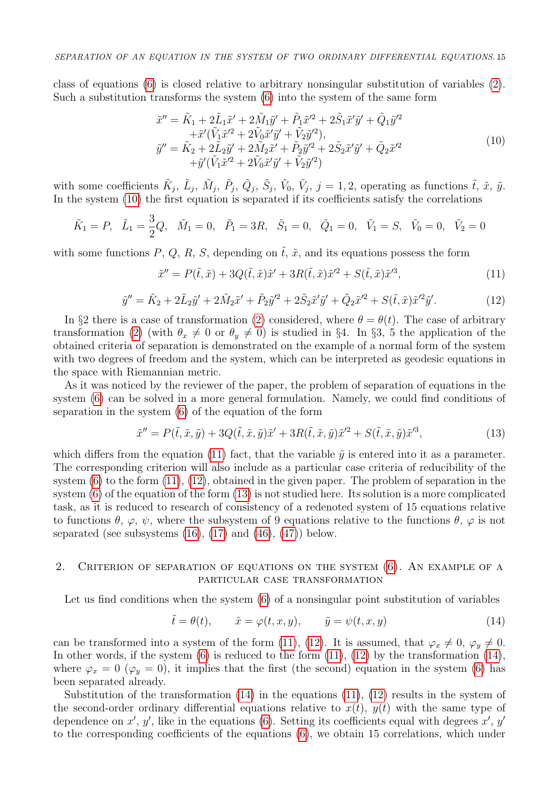class of equations [\(6\)](#page-1-0) is closed relative to arbitrary nonsingular substitution of variables [\(2\)](#page-0-0). Such a substitution transforms the system [\(6\)](#page-1-0) into the system of the same form

<span id="page-2-0"></span>
$$
\tilde{x}'' = \tilde{K}_1 + 2\tilde{L}_1 \tilde{x}' + 2\tilde{M}_1 \tilde{y}' + \tilde{P}_1 \tilde{x}'^2 + 2\tilde{S}_1 \tilde{x}' \tilde{y}' + \tilde{Q}_1 \tilde{y}'^2 \n+ \tilde{x}'(\tilde{V}_1 \tilde{x}'^2 + 2\tilde{V}_0 \tilde{x}' \tilde{y}' + \tilde{V}_2 \tilde{y}'^2), \n\tilde{y}'' = \tilde{K}_2 + 2\tilde{L}_2 \tilde{y}' + 2\tilde{M}_2 \tilde{x}' + \tilde{P}_2 \tilde{y}'^2 + 2\tilde{S}_2 \tilde{x}' \tilde{y}' + \tilde{Q}_2 \tilde{x}'^2 \n+ \tilde{y}'(\tilde{V}_1 \tilde{x}'^2 + 2\tilde{V}_0 \tilde{x}' \tilde{y}' + \tilde{V}_2 \tilde{y}'^2)
$$
\n(10)

with some coefficients  $\tilde{K}_j$ ,  $\tilde{L}_j$ ,  $\tilde{M}_j$ ,  $\tilde{P}_j$ ,  $\tilde{Q}_j$ ,  $\tilde{S}_j$ ,  $\tilde{V}_0$ ,  $\tilde{V}_j$ ,  $j = 1, 2$ , operating as functions  $\tilde{t}$ ,  $\tilde{x}$ ,  $\tilde{y}$ . In the system [\(10\)](#page-2-0) the first equation is separated if its coefficients satisfy the correlations

$$
\tilde{K}_1 = P
$$
,  $\tilde{L}_1 = \frac{3}{2}Q$ ,  $\tilde{M}_1 = 0$ ,  $\tilde{P}_1 = 3R$ ,  $\tilde{S}_1 = 0$ ,  $\tilde{Q}_1 = 0$ ,  $\tilde{V}_1 = S$ ,  $\tilde{V}_0 = 0$ ,  $\tilde{V}_2 = 0$ 

with some functions P, Q, R, S, depending on  $\tilde{t}$ ,  $\tilde{x}$ , and its equations possess the form

<span id="page-2-1"></span>
$$
\tilde{x}'' = P(\tilde{t}, \tilde{x}) + 3Q(\tilde{t}, \tilde{x})\tilde{x}' + 3R(\tilde{t}, \tilde{x})\tilde{x}'^2 + S(\tilde{t}, \tilde{x})\tilde{x}'^3,
$$
\n(11)

<span id="page-2-2"></span>
$$
\tilde{y}'' = \tilde{K}_2 + 2\tilde{L}_2\tilde{y}' + 2\tilde{M}_2\tilde{x}' + \tilde{P}_2\tilde{y}'^2 + 2\tilde{S}_2\tilde{x}'\tilde{y}' + \tilde{Q}_2\tilde{x}'^2 + S(\tilde{t}, \tilde{x})\tilde{x}'^2\tilde{y}'.\tag{12}
$$

In §2 there is a case of transformation [\(2\)](#page-0-0) considered, where  $\theta = \theta(t)$ . The case of arbitrary transformation [\(2\)](#page-0-0) (with  $\theta_x \neq 0$  or  $\theta_y \neq 0$ ) is studied in §4. In §3, 5 the application of the obtained criteria of separation is demonstrated on the example of a normal form of the system with two degrees of freedom and the system, which can be interpreted as geodesic equations in the space with Riemannian metric.

As it was noticed by the reviewer of the paper, the problem of separation of equations in the system [\(6\)](#page-1-0) can be solved in a more general formulation. Namely, we could find conditions of separation in the system [\(6\)](#page-1-0) of the equation of the form

<span id="page-2-3"></span>
$$
\tilde{x}'' = P(\tilde{t}, \tilde{x}, \tilde{y}) + 3Q(\tilde{t}, \tilde{x}, \tilde{y})\tilde{x}' + 3R(\tilde{t}, \tilde{x}, \tilde{y})\tilde{x}'^2 + S(\tilde{t}, \tilde{x}, \tilde{y})\tilde{x}'^3,
$$
\n(13)

which differs from the equation [\(11\)](#page-2-1) fact, that the variable  $\tilde{y}$  is entered into it as a parameter. The corresponding criterion will also include as a particular case criteria of reducibility of the system  $(6)$  to the form  $(11)$ ,  $(12)$ , obtained in the given paper. The problem of separation in the system [\(6\)](#page-1-0) of the equation of the form [\(13\)](#page-2-3) is not studied here. Its solution is a more complicated task, as it is reduced to research of consistency of a redenoted system of 15 equations relative to functions  $\theta$ ,  $\varphi$ ,  $\psi$ , where the subsystem of 9 equations relative to the functions  $\theta$ ,  $\varphi$  is not separated (see subsystems  $(16)$ ,  $(17)$  and  $(46)$ ,  $(47)$ ) below.

# 2. Criterion of separation of equations on the system [\(6\)](#page-1-0). An example of a particular case transformation

Let us find conditions when the system [\(6\)](#page-1-0) of a nonsingular point substitution of variables

<span id="page-2-4"></span>
$$
\tilde{t} = \theta(t), \qquad \tilde{x} = \varphi(t, x, y), \qquad \tilde{y} = \psi(t, x, y)
$$
\n(14)

can be transformed into a system of the form [\(11\)](#page-2-1), [\(12\)](#page-2-2). It is assumed, that  $\varphi_x \neq 0$ ,  $\varphi_y \neq 0$ . In other words, if the system  $(6)$  is reduced to the form  $(11)$ ,  $(12)$  by the transformation  $(14)$ , where  $\varphi_x = 0$  ( $\varphi_y = 0$ ), it implies that the first (the second) equation in the system [\(6\)](#page-1-0) has been separated already.

Substitution of the transformation  $(14)$  in the equations  $(11)$ ,  $(12)$  results in the system of the second-order ordinary differential equations relative to  $x(t)$ ,  $y(t)$  with the same type of dependence on  $x'$ ,  $y'$ , like in the equations [\(6\)](#page-1-0). Setting its coefficients equal with degrees  $x'$ ,  $y'$ to the corresponding coefficients of the equations [\(6\)](#page-1-0), we obtain 15 correlations, which under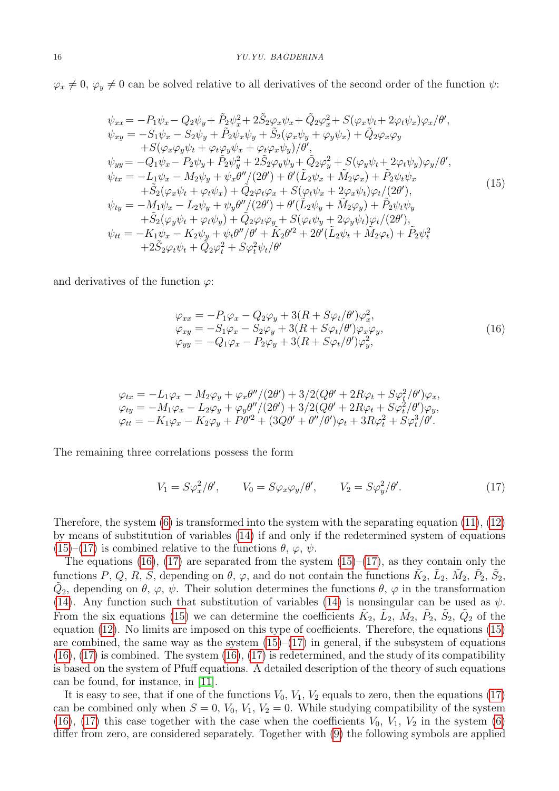$\varphi_x \neq 0$ ,  $\varphi_y \neq 0$  can be solved relative to all derivatives of the second order of the function  $\psi$ :

<span id="page-3-2"></span>
$$
\psi_{xx} = -P_1 \psi_x - Q_2 \psi_y + \tilde{P}_2 \psi_x^2 + 2 \tilde{S}_2 \varphi_x \psi_x + \tilde{Q}_2 \varphi_x^2 + S(\varphi_x \psi_t + 2\varphi_t \psi_x) \varphi_x / \theta', \n\psi_{xy} = -S_1 \psi_x - S_2 \psi_y + \tilde{P}_2 \psi_x \psi_y + \tilde{S}_2 (\varphi_x \psi_y + \varphi_y \psi_x) + \tilde{Q}_2 \varphi_x \varphi_y \n+ S(\varphi_x \varphi_y \psi_t + \varphi_t \varphi_y \psi_x + \varphi_t \varphi_x \psi_y) / \theta', \n\psi_{yy} = -Q_1 \psi_x - P_2 \psi_y + \tilde{P}_2 \psi_y^2 + 2 \tilde{S}_2 \varphi_y \psi_y + \tilde{Q}_2 \varphi_y^2 + S(\varphi_y \psi_t + 2\varphi_t \psi_y) \varphi_y / \theta', \n\psi_{tx} = -L_1 \psi_x - M_2 \psi_y + \psi_x \theta'' / (2\theta') + \theta' (\tilde{L}_2 \psi_x + \tilde{M}_2 \varphi_x) + \tilde{P}_2 \psi_t \psi_x \n+ \tilde{S}_2 (\varphi_x \psi_t + \varphi_t \psi_x) + \tilde{Q}_2 \varphi_t \varphi_x + S(\varphi_t \psi_x + 2\varphi_x \psi_t) \varphi_t / (2\theta'), \n\psi_{ty} = -M_1 \psi_x - L_2 \psi_y + \psi_y \theta'' / (2\theta') + \theta' (\tilde{L}_2 \psi_y + \tilde{M}_2 \varphi_y) + \tilde{P}_2 \psi_t \psi_y \n+ \tilde{S}_2 (\varphi_y \psi_t + \varphi_t \psi_y) + \tilde{Q}_2 \varphi_t \varphi_y + S(\varphi_t \psi_y + 2\varphi_y \psi_t) \varphi_t / (2\theta'), \n\psi_{tt} = -K_1 \psi_x - K_2 \psi_y + \psi_t \theta'' / \theta' + \tilde{K}_2 \theta'^2 + 2\theta' (\tilde{L}_2 \psi_t + \tilde{M}_2 \varphi_t) + \tilde{P}_2 \psi_t^2 \n+ 2 \tilde{S}_2 \varphi_t \psi_t + \tilde{Q}_2 \varphi_t^2 + S \varphi_t^2 \psi_t / \theta'
$$

and derivatives of the function  $\varphi$ :

<span id="page-3-0"></span>
$$
\varphi_{xx} = -P_1 \varphi_x - Q_2 \varphi_y + 3(R + S\varphi_t/\theta') \varphi_x^2,\n\varphi_{xy} = -S_1 \varphi_x - S_2 \varphi_y + 3(R + S\varphi_t/\theta') \varphi_x \varphi_y,\n\varphi_{yy} = -Q_1 \varphi_x - P_2 \varphi_y + 3(R + S\varphi_t/\theta') \varphi_y^2,
$$
\n(16)

$$
\varphi_{tx} = -L_1 \varphi_x - M_2 \varphi_y + \varphi_x \theta''/(2\theta') + 3/2(Q\theta' + 2R\varphi_t + S\varphi_t^2/\theta')\varphi_x,\n\varphi_{ty} = -M_1 \varphi_x - L_2 \varphi_y + \varphi_y \theta''/(2\theta') + 3/2(Q\theta' + 2R\varphi_t + S\varphi_t^2/\theta')\varphi_y,\n\varphi_{tt} = -K_1 \varphi_x - K_2 \varphi_y + P\theta'^2 + (3Q\theta' + \theta''/\theta')\varphi_t + 3R\varphi_t^2 + S\varphi_t^3/\theta'.
$$

The remaining three correlations possess the form

<span id="page-3-1"></span>
$$
V_1 = S\varphi_x^2/\theta', \qquad V_0 = S\varphi_x\varphi_y/\theta', \qquad V_2 = S\varphi_y^2/\theta'.
$$
 (17)

Therefore, the system  $(6)$  is transformed into the system with the separating equation  $(11)$ ,  $(12)$ by means of substitution of variables [\(14\)](#page-2-4) if and only if the redetermined system of equations  $(15)$ – $(17)$  is combined relative to the functions  $\theta$ ,  $\varphi$ ,  $\psi$ .

The equations [\(16\)](#page-3-0), [\(17\)](#page-3-1) are separated from the system [\(15\)](#page-3-2)–[\(17\)](#page-3-1), as they contain only the functions P, Q, R, S, depending on  $\theta$ ,  $\varphi$ , and do not contain the functions  $\tilde{K}_2$ ,  $\tilde{L}_2$ ,  $\tilde{M}_2$ ,  $\tilde{P}_2$ ,  $\tilde{S}_2$ ,  $\tilde{Q}_2$ , depending on  $\theta$ ,  $\varphi$ ,  $\psi$ . Their solution determines the functions  $\theta$ ,  $\varphi$  in the transformation [\(14\)](#page-2-4). Any function such that substitution of variables [\(14\)](#page-2-4) is nonsingular can be used as  $\psi$ . From the six equations [\(15\)](#page-3-2) we can determine the coefficients  $\tilde{K}_2$ ,  $\tilde{L}_2$ ,  $\tilde{M}_2$ ,  $\tilde{P}_2$ ,  $\tilde{S}_2$ ,  $\tilde{Q}_2$  of the equation [\(12\)](#page-2-2). No limits are imposed on this type of coefficients. Therefore, the equations [\(15\)](#page-3-2) are combined, the same way as the system  $(15)–(17)$  $(15)–(17)$  in general, if the subsystem of equations  $(16)$ ,  $(17)$  is combined. The system  $(16)$ ,  $(17)$  is redetermined, and the study of its compatibility is based on the system of Pfuff equations. A detailed description of the theory of such equations can be found, for instance, in [\[11\]](#page-14-5).

It is easy to see, that if one of the functions  $V_0$ ,  $V_1$ ,  $V_2$  equals to zero, then the equations [\(17\)](#page-3-1) can be combined only when  $S = 0$ ,  $V_0$ ,  $V_1$ ,  $V_2 = 0$ . While studying compatibility of the system [\(16\)](#page-3-0), [\(17\)](#page-3-1) this case together with the case when the coefficients  $V_0$ ,  $V_1$ ,  $V_2$  in the system [\(6\)](#page-1-0) differ from zero, are considered separately. Together with [\(9\)](#page-1-3) the following symbols are applied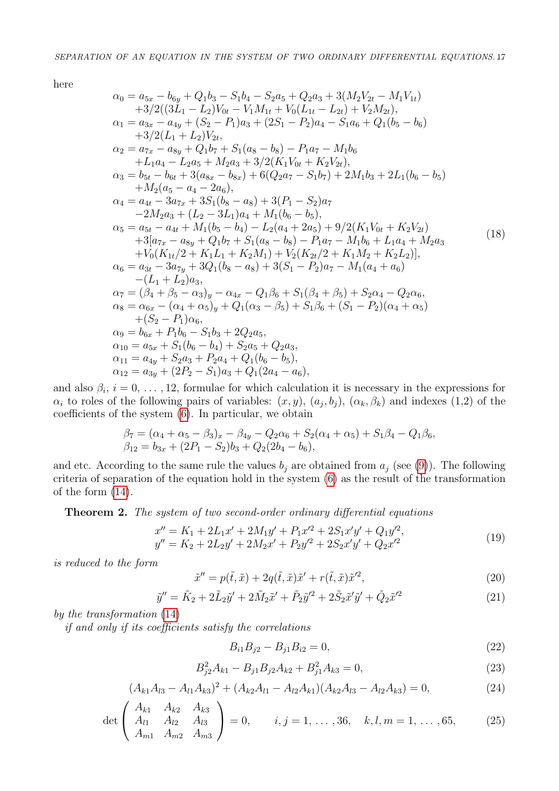here

$$
\alpha_{0} = a_{5x} - b_{6y} + Q_{1}b_{3} - S_{1}b_{4} - S_{2}a_{5} + Q_{2}a_{3} + 3(M_{2}V_{2t} - M_{1}V_{1t}) \n+3/2((3L_{1} - L_{2})V_{0t} - V_{1}M_{1t} + V_{0}(L_{1t} - L_{2t}) + V_{2}M_{2t}), \n\alpha_{1} = a_{3x} - a_{4y} + (S_{2} - P_{1})a_{3} + (2S_{1} - P_{2})a_{4} - S_{1}a_{6} + Q_{1}(b_{5} - b_{6}) \n+3/2(L_{1} + L_{2})V_{2t}, \n\alpha_{2} = a_{7x} - a_{8y} + Q_{1}b_{7} + S_{1}(a_{8} - b_{8}) - P_{1}a_{7} - M_{1}b_{6} \n+L_{1}a_{4} - L_{2}a_{5} + M_{2}a_{3} + 3/2(K_{1}V_{0t} + K_{2}V_{2t}), \n\alpha_{3} = b_{5t} - b_{6t} + 3(a_{8x} - b_{8x}) + 6(Q_{2}a_{7} - S_{1}b_{7}) + 2M_{1}b_{3} + 2L_{1}(b_{6} - b_{5}) \n+ M_{2}(a_{5} - a_{4} - 2a_{6}), \n\alpha_{4} = a_{4t} - 3a_{7x} + 3S_{1}(b_{8} - a_{8}) + 3(P_{1} - S_{2})a_{7} \n-2M_{2}a_{3} + (L_{2} - 3L_{1})a_{4} + M_{1}(b_{6} - b_{5}), \n\alpha_{5} = a_{5t} - a_{4t} + M_{1}(b_{5} - b_{4}) - L_{2}(a_{4} + 2a_{5}) + 9/2(K_{1}V_{0t} + K_{2}V_{2t}) \n+3[a_{7x} - a_{8y} + Q_{1}b_{7} + S_{1}(a_{8} - b_{8}) - P_{1}a_{7} - M_{1}b_{6} + L_{1}a_{4} + M_{2}a_{3} \n+ V_{0}(K_{1t}/2 + K_{1}L_{1} + K_{2}M_{1}) + V_{2}(K_{2t}/2 + K_{1}M_{2}
$$

and also  $\beta_i$ ,  $i = 0, \ldots, 12$ , formulae for which calculation it is necessary in the expressions for  $\alpha_i$  to roles of the following pairs of variables:  $(x, y)$ ,  $(a_j, b_j)$ ,  $(\alpha_k, \beta_k)$  and indexes  $(1,2)$  of the coefficients of the system [\(6\)](#page-1-0). In particular, we obtain

$$
\beta_7 = (\alpha_4 + \alpha_5 - \beta_3)_x - \beta_{4y} - Q_2\alpha_6 + S_2(\alpha_4 + \alpha_5) + S_1\beta_4 - Q_1\beta_6,\n\beta_{12} = b_{3x} + (2P_1 - S_2)b_3 + Q_2(2b_4 - b_6),
$$

and etc. According to the same rule the values  $b_j$  are obtained from  $a_j$  (see [\(9\)](#page-1-3)). The following criteria of separation of the equation hold in the system [\(6\)](#page-1-0) as the result of the transformation of the form [\(14\)](#page-2-4).

Theorem 2. The system of two second-order ordinary differential equations

$$
x'' = K_1 + 2L_1x' + 2M_1y' + P_1x'^2 + 2S_1x'y' + Q_1y'^2,
$$
  
\n
$$
y'' = K_2 + 2L_2y' + 2M_2x' + P_2y'^2 + 2S_2x'y' + Q_2x'^2
$$
\n(19)

is reduced to the form

$$
\tilde{x}'' = p(\tilde{t}, \tilde{x}) + 2q(\tilde{t}, \tilde{x})\tilde{x}' + r(\tilde{t}, \tilde{x})\tilde{x}'^2,
$$
\n(20)

$$
\tilde{y}'' = \tilde{K}_2 + 2\tilde{L}_2\tilde{y}' + 2\tilde{M}_2\tilde{x}' + \tilde{P}_2\tilde{y}'^2 + 2\tilde{S}_2\tilde{x}'\tilde{y}' + \tilde{Q}_2\tilde{x}'^2
$$
\n(21)

by the transformation [\(14\)](#page-2-4)

if and only if its coefficients satisfy the correlations

<span id="page-4-0"></span>
$$
B_{i1}B_{j2} - B_{j1}B_{i2} = 0,\t\t(22)
$$

<span id="page-4-3"></span>
$$
B_{j2}^2 A_{k1} - B_{j1} B_{j2} A_{k2} + B_{j1}^2 A_{k3} = 0,
$$
\n(23)

<span id="page-4-1"></span>
$$
(A_{k1}A_{l3} - A_{l1}A_{k3})^2 + (A_{k2}A_{l1} - A_{l2}A_{k1})(A_{k2}A_{l3} - A_{l2}A_{k3}) = 0,
$$
\n(24)

<span id="page-4-2"></span>
$$
\det \begin{pmatrix} A_{k1} & A_{k2} & A_{k3} \\ A_{l1} & A_{l2} & A_{l3} \\ A_{m1} & A_{m2} & A_{m3} \end{pmatrix} = 0, \qquad i, j = 1, ..., 36, \quad k, l, m = 1, ..., 65, \tag{25}
$$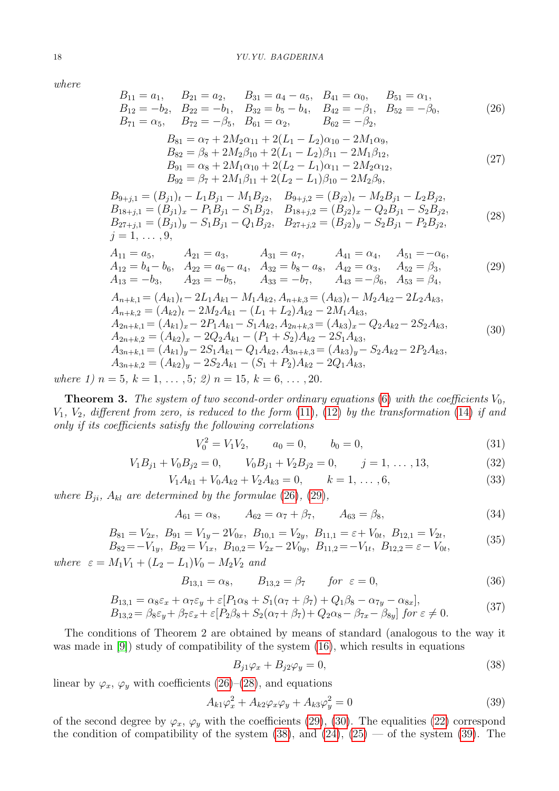where

<span id="page-5-0"></span>
$$
B_{11} = a_1, \t B_{21} = a_2, \t B_{31} = a_4 - a_5, \t B_{41} = \alpha_0, \t B_{51} = \alpha_1,\n B_{12} = -b_2, \t B_{22} = -b_1, \t B_{32} = b_5 - b_4, \t B_{42} = -\beta_1, \t B_{52} = -\beta_0,\n B_{71} = \alpha_5, \t B_{72} = -\beta_5, \t B_{61} = \alpha_2, \t B_{62} = -\beta_2,
$$
\n(26)

$$
B_{81} = \alpha_7 + 2M_2\alpha_{11} + 2(L_1 - L_2)\alpha_{10} - 2M_1\alpha_9,
$$
  
\n
$$
B_{82} = \beta_8 + 2M_2\beta_{10} + 2(L_1 - L_2)\beta_{11} - 2M_1\beta_{12},
$$
  
\n
$$
B_{91} = \alpha_8 + 2M_1\alpha_{10} + 2(L_2 - L_1)\alpha_{11} - 2M_2\alpha_{12},
$$
  
\n
$$
B_{92} = \beta_7 + 2M_1\beta_{11} + 2(L_2 - L_1)\beta_{10} - 2M_2\beta_9,
$$
\n(27)

<span id="page-5-2"></span> $B_{9+j,1} = (B_{j1})_t - L_1B_{j1} - M_1B_{j2}, \quad B_{9+j,2} = (B_{j2})_t - M_2B_{j1} - L_2B_{j2},$  $B_{18+j,1} = (B_{j1})_x - P_1B_{j1} - S_1B_{j2}, \quad B_{18+j,2} = (B_{j2})_x - Q_2B_{j1} - S_2B_{j2},$  $B_{27+j,1} = (B_{j1})_y - S_1B_{j1} - Q_1B_{j2}, B_{27+j,2} = (B_{j2})_y - S_2B_{j1} - P_2B_{j2},$  $j = 1, \ldots, 9,$ (28)

<span id="page-5-3"></span><span id="page-5-1"></span>
$$
A_{11} = a_5, \t A_{21} = a_3, \t A_{31} = a_7, \t A_{41} = \alpha_4, \t A_{51} = -\alpha_6, A_{12} = b_4 - b_6, \t A_{22} = a_6 - a_4, \t A_{32} = b_8 - a_8, \t A_{42} = \alpha_3, \t A_{52} = \beta_3, A_{13} = -b_3, \t A_{23} = -b_5, \t A_{33} = -b_7, \t A_{43} = -\beta_6, \t A_{53} = \beta_4, A_{n+k,1} = (A_{k1})_t - 2L_1A_{k1} - M_1A_{k2}, A_{n+k,3} = (A_{k3})_t - M_2A_{k2} - 2L_2A_{k3}, A_{n+k,2} = (A_{k2})_t - 2M_2A_{k1} - (L_1 + L_2)A_{k2} - 2M_1A_{k3}, A_{2n+k,1} = (A_{k1})_x - 2P_1A_{k1} - S_1A_{k2}, A_{2n+k,3} = (A_{k3})_x - Q_2A_{k2} - 2S_2A_{k3}, A_{2n+k,2} = (A_{k2})_x - 2Q_2A_{k1} - (P_1 + S_2)A_{k2} - 2S_1A_{k3}, A_{3n+k,1} = (A_{k1})_y - 2S_1A_{k1} - Q_1A_{k2}, A_{3n+k,3} = (A_{k3})_y - S_2A_{k2} - 2P_2A_{k3}, A_{3n+k,2} = (A_{k2})_y - 2S_2A_{k1} - (S_1 + P_2)A_{k2} - 2Q_1A_{k3},
$$
\n
$$
A_{3n+k,3} = (A_{k2})_y - 2S_2A_{k1} - (S_1 + P_2)A_{k2} - 2Q_1A_{k3},
$$
\n(30)

where 1)  $n = 5, k = 1, \ldots, 5; 2$   $n = 15, k = 6, \ldots, 20$ .

**Theorem 3.** The system of two second-order ordinary equations [\(6\)](#page-1-0) with the coefficients  $V_0$ ,  $V_1, V_2,$  different from zero, is reduced to the form  $(11)$ ,  $(12)$  by the transformation  $(14)$  if and only if its coefficients satisfy the following correlations

<span id="page-5-6"></span>
$$
V_0^2 = V_1 V_2, \qquad a_0 = 0, \qquad b_0 = 0,
$$
\n
$$
(31)
$$

<span id="page-5-11"></span>
$$
V_1 B_{j1} + V_0 B_{j2} = 0, \t V_0 B_{j1} + V_2 B_{j2} = 0, \t j = 1, ..., 13,
$$
\t(32)

<span id="page-5-12"></span>
$$
V_1 A_{k1} + V_0 A_{k2} + V_2 A_{k3} = 0, \qquad k = 1, \dots, 6,
$$
\n(33)

where  $B_{ji}$ ,  $A_{kl}$  are determined by the formulae [\(26\)](#page-5-0), [\(29\)](#page-5-1),

<span id="page-5-10"></span>
$$
A_{61} = \alpha_8, \qquad A_{62} = \alpha_7 + \beta_7, \qquad A_{63} = \beta_8,\tag{34}
$$

<span id="page-5-7"></span>
$$
B_{81} = V_{2x}, B_{91} = V_{1y} - 2V_{0x}, B_{10,1} = V_{2y}, B_{11,1} = \varepsilon + V_{0t}, B_{12,1} = V_{2t},
$$
  
\n
$$
B_{82} = -V_{1} \qquad B_{83} = V_{1} \qquad B_{12,2} = V_{2} \qquad B_{11,3} = -V_{1} \qquad B_{12,3} = \varepsilon - V_{0} \qquad (35)
$$

 $B_{82} = -V_{1y}, B_{92} = V_{1x}, B_{10,2} = V_{2x} - 2V_{0y}, B_{11,2} = -V_{1t}, B_{12,2} = \varepsilon - V_{0t},$ 

where  $\varepsilon = M_1 V_1 + (L_2 - L_1)V_0 - M_2 V_2$  and

<span id="page-5-8"></span>
$$
B_{13,1} = \alpha_8, \qquad B_{13,2} = \beta_7 \qquad \text{for } \varepsilon = 0,
$$
 (36)

<span id="page-5-9"></span>
$$
B_{13,1} = \alpha_8 \varepsilon_x + \alpha_7 \varepsilon_y + \varepsilon [P_1 \alpha_8 + S_1(\alpha_7 + \beta_7) + Q_1 \beta_8 - \alpha_{7y} - \alpha_{8x}],
$$
  
\n
$$
B_{13,2} = \beta_8 \varepsilon_y + \beta_7 \varepsilon_x + \varepsilon [P_2 \beta_8 + S_2(\alpha_7 + \beta_7) + Q_2 \alpha_8 - \beta_{7x} - \beta_{8y}] \text{ for } \varepsilon \neq 0.
$$
\n(37)

The conditions of Theorem 2 are obtained by means of standard (analogous to the way it was made in  $[9]$ ) study of compatibility of the system  $(16)$ , which results in equations

<span id="page-5-4"></span>
$$
B_{j1}\varphi_x + B_{j2}\varphi_y = 0,\t\t(38)
$$

linear by  $\varphi_x$ ,  $\varphi_y$  with coefficients [\(26\)](#page-5-0)–[\(28\)](#page-5-2), and equations

<span id="page-5-5"></span>
$$
A_{k1}\varphi_x^2 + A_{k2}\varphi_x\varphi_y + A_{k3}\varphi_y^2 = 0
$$
\n(39)

of the second degree by  $\varphi_x$ ,  $\varphi_y$  with the coefficients [\(29\)](#page-5-1), [\(30\)](#page-5-3). The equalities [\(22\)](#page-4-0) correspond the condition of compatibility of the system  $(38)$ , and  $(24)$ ,  $(25)$  — of the system  $(39)$ . The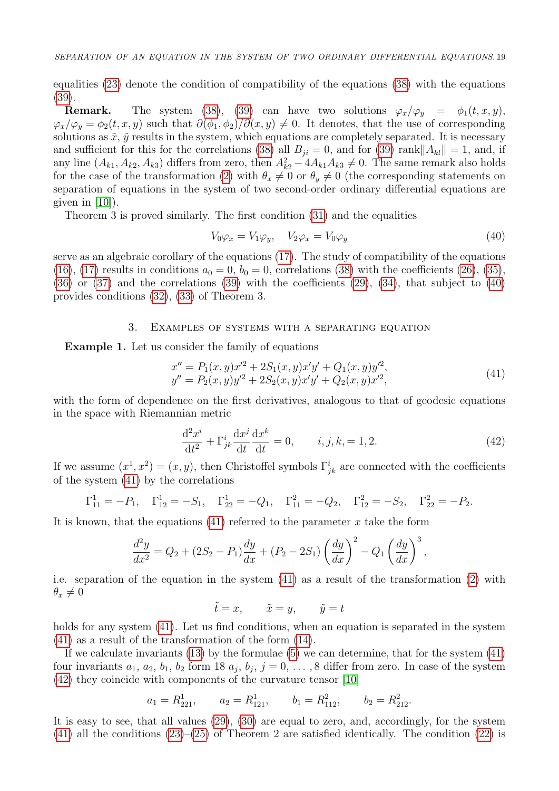equalities [\(23\)](#page-4-3) denote the condition of compatibility of the equations [\(38\)](#page-5-4) with the equations [\(39\)](#page-5-5).

**Remark.** The system [\(38\)](#page-5-4), [\(39\)](#page-5-5) can have two solutions  $\varphi_x/\varphi_y = \varphi_1(t, x, y)$ ,  $\varphi_x/\varphi_y = \varphi_2(t, x, y)$  such that  $\partial(\varphi_1, \varphi_2)/\partial(x, y) \neq 0$ . It denotes, that the use of corresponding solutions as  $\tilde{x}$ ,  $\tilde{y}$  results in the system, which equations are completely separated. It is necessary and sufficient for this for the correlations [\(38\)](#page-5-4) all  $B_{ii} = 0$ , and for [\(39\)](#page-5-5) rank  $||A_{kl}|| = 1$ , and, if any line  $(A_{k1}, A_{k2}, A_{k3})$  differs from zero, then  $A_{k2}^2 - 4A_{k1}A_{k3} \neq 0$ . The same remark also holds for the case of the transformation [\(2\)](#page-0-0) with  $\theta_x \neq 0$  or  $\theta_y \neq 0$  (the corresponding statements on separation of equations in the system of two second-order ordinary differential equations are given in [\[10\]](#page-14-4)).

Theorem 3 is proved similarly. The first condition [\(31\)](#page-5-6) and the equalities

<span id="page-6-0"></span>
$$
V_0 \varphi_x = V_1 \varphi_y, \quad V_2 \varphi_x = V_0 \varphi_y \tag{40}
$$

serve as an algebraic corollary of the equations [\(17\)](#page-3-1). The study of compatibility of the equations [\(16\)](#page-3-0), [\(17\)](#page-3-1) results in conditions  $a_0 = 0$ ,  $b_0 = 0$ , correlations [\(38\)](#page-5-4) with the coefficients [\(26\)](#page-5-0), [\(35\)](#page-5-7),  $(36)$  or  $(37)$  and the correlations  $(39)$  with the coefficients  $(29)$ ,  $(34)$ , that subject to  $(40)$ provides conditions [\(32\)](#page-5-11), [\(33\)](#page-5-12) of Theorem 3.

### 3. Examples of systems with a separating equation

Example 1. Let us consider the family of equations

<span id="page-6-1"></span>
$$
x'' = P_1(x, y)x'^2 + 2S_1(x, y)x'y' + Q_1(x, y)y'^2,
$$
  
\n
$$
y'' = P_2(x, y)y'^2 + 2S_2(x, y)x'y' + Q_2(x, y)x'^2,
$$
\n(41)

with the form of dependence on the first derivatives, analogous to that of geodesic equations in the space with Riemannian metric

<span id="page-6-2"></span>
$$
\frac{d^2x^i}{dt^2} + \Gamma^i_{jk}\frac{dx^j}{dt}\frac{dx^k}{dt} = 0, \t i, j, k, = 1, 2.
$$
 (42)

If we assume  $(x^1, x^2) = (x, y)$ , then Christoffel symbols  $\Gamma_{jk}^i$  are connected with the coefficients of the system [\(41\)](#page-6-1) by the correlations

$$
\Gamma_{11}^1 = -P_1
$$
,  $\Gamma_{12}^1 = -S_1$ ,  $\Gamma_{22}^1 = -Q_1$ ,  $\Gamma_{11}^2 = -Q_2$ ,  $\Gamma_{12}^2 = -S_2$ ,  $\Gamma_{22}^2 = -P_2$ .

It is known, that the equations  $(41)$  referred to the parameter x take the form

$$
\frac{d^2y}{dx^2} = Q_2 + (2S_2 - P_1)\frac{dy}{dx} + (P_2 - 2S_1) \left(\frac{dy}{dx}\right)^2 - Q_1 \left(\frac{dy}{dx}\right)^3,
$$

i.e. separation of the equation in the system [\(41\)](#page-6-1) as a result of the transformation [\(2\)](#page-0-0) with  $\theta_x \neq 0$ 

$$
\tilde{t} = x, \qquad \tilde{x} = y, \qquad \tilde{y} = t
$$

holds for any system [\(41\)](#page-6-1). Let us find conditions, when an equation is separated in the system [\(41\)](#page-6-1) as a result of the transformation of the form [\(14\)](#page-2-4).

If we calculate invariants [\(13\)](#page-2-3) by the formulae [\(5\)](#page-1-1) we can determine, that for the system [\(41\)](#page-6-1) four invariants  $a_1, a_2, b_1, b_2$  form 18  $a_j, b_j, j = 0, \ldots, 8$  differ from zero. In case of the system [\(42\)](#page-6-2) they coincide with components of the curvature tensor [\[10\]](#page-14-4)

$$
a_1 = R_{221}^1
$$
,  $a_2 = R_{121}^1$ ,  $b_1 = R_{112}^2$ ,  $b_2 = R_{212}^2$ .

It is easy to see, that all values [\(29\)](#page-5-1), [\(30\)](#page-5-3) are equal to zero, and, accordingly, for the system [\(41\)](#page-6-1) all the conditions  $(23)$ – $(25)$  of Theorem 2 are satisfied identically. The condition  $(22)$  is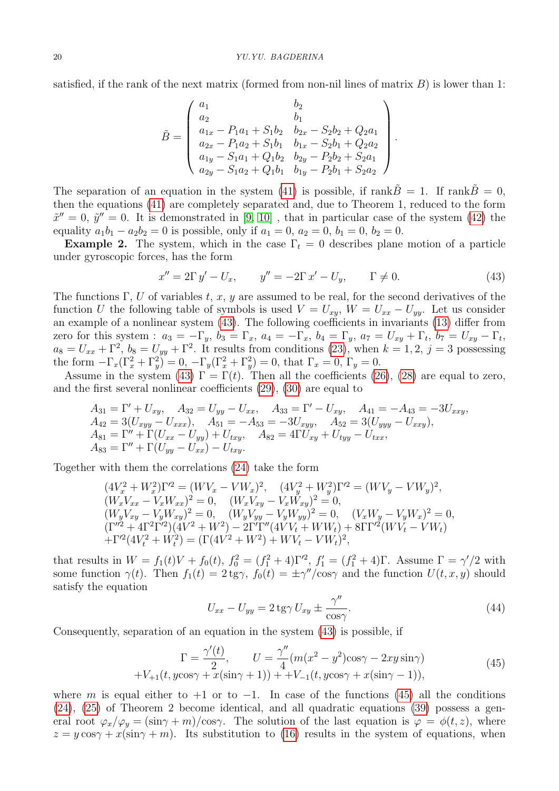satisfied, if the rank of the next matrix (formed from non-nil lines of matrix  $B$ ) is lower than 1:

$$
\tilde{B} = \begin{pmatrix}\na_1 & b_2 \\
a_2 & b_1 \\
a_{1x} - P_1a_1 + S_1b_2 & b_{2x} - S_2b_2 + Q_2a_1 \\
a_{2x} - P_1a_2 + S_1b_1 & b_{1x} - S_2b_1 + Q_2a_2 \\
a_{1y} - S_1a_1 + Q_1b_2 & b_{2y} - P_2b_2 + S_2a_1 \\
a_{2y} - S_1a_2 + Q_1b_1 & b_{1y} - P_2b_1 + S_2a_2\n\end{pmatrix}
$$

The separation of an equation in the system [\(41\)](#page-6-1) is possible, if rank $\ddot{B} = 1$ . If rank $\ddot{B} = 0$ , then the equations [\(41\)](#page-6-1) are completely separated and, due to Theorem 1, reduced to the form  $\tilde{x}'' = 0$ ,  $\tilde{y}'' = 0$ . It is demonstrated in [\[9,](#page-14-3) [10\]](#page-14-4), that in particular case of the system [\(42\)](#page-6-2) the equality  $a_1 b_1 - a_2 b_2 = 0$  is possible, only if  $a_1 = 0$ ,  $a_2 = 0$ ,  $b_1 = 0$ ,  $b_2 = 0$ .

**Example 2.** The system, which in the case  $\Gamma_t = 0$  describes plane motion of a particle under gyroscopic forces, has the form

<span id="page-7-0"></span>
$$
x'' = 2\Gamma y' - U_x, \qquad y'' = -2\Gamma x' - U_y, \qquad \Gamma \neq 0. \tag{43}
$$

.

The functions Γ, U of variables t, x, y are assumed to be real, for the second derivatives of the function U the following table of symbols is used  $V = U_{xy}$ ,  $W = U_{xx} - U_{yy}$ . Let us consider an example of a nonlinear system [\(43\)](#page-7-0). The following coefficients in invariants [\(13\)](#page-2-3) differ from zero for this system :  $a_3 = -\Gamma_y$ ,  $b_3 = \Gamma_x$ ,  $a_4 = -\Gamma_x$ ,  $b_4 = \Gamma_y$ ,  $a_7 = U_{xy} + \Gamma_t$ ,  $b_7 = U_{xy} - \Gamma_t$ ,  $a_8 = U_{xx} + \Gamma^2$ ,  $b_8 = U_{yy} + \Gamma^2$ . It results from conditions [\(23\)](#page-4-3), when  $k = 1, 2, j = 3$  possessing the form  $-\Gamma_x(\Gamma_x^2 + \Gamma_y^2) = 0$ ,  $-\Gamma_y(\Gamma_x^2 + \Gamma_y^2) = 0$ , that  $\Gamma_x = 0$ ,  $\Gamma_y = 0$ .

Assume in the system [\(43\)](#page-7-0)  $\Gamma = \Gamma(t)$ . Then all the coefficients [\(26\)](#page-5-0), [\(28\)](#page-5-2) are equal to zero, and the first several nonlinear coefficients [\(29\)](#page-5-1), [\(30\)](#page-5-3) are equal to

$$
A_{31} = \Gamma' + U_{xy}, \quad A_{32} = U_{yy} - U_{xx}, \quad A_{33} = \Gamma' - U_{xy}, \quad A_{41} = -A_{43} = -3U_{xxy},
$$
  
\n
$$
A_{42} = 3(U_{xyy} - U_{xxx}), \quad A_{51} = -A_{53} = -3U_{xyy}, \quad A_{52} = 3(U_{yyy} - U_{xxy}),
$$
  
\n
$$
A_{81} = \Gamma'' + \Gamma(U_{xx} - U_{yy}) + U_{txy}, \quad A_{82} = 4\Gamma U_{xy} + U_{tyy} - U_{txx},
$$
  
\n
$$
A_{83} = \Gamma'' + \Gamma(U_{yy} - U_{xx}) - U_{txy}.
$$

Together with them the correlations [\(24\)](#page-4-1) take the form

$$
(4V_x^2 + W_x^2)\Gamma'^2 = (WV_x - VW_x)^2, \quad (4V_y^2 + W_y^2)\Gamma'^2 = (WV_y - VW_y)^2, (W_xV_{xx} - V_xW_{xx})^2 = 0, \quad (W_xV_{xy} - V_xW_{xy})^2 = 0, (W_yV_{xy} - V_yW_{xy})^2 = 0, \quad (W_yV_{yy} - V_yW_{yy})^2 = 0, \quad (V_xW_y - V_yW_x)^2 = 0, (\Gamma''^2 + 4\Gamma^2\Gamma'^2)(4V^2 + W^2) - 2\Gamma'\Gamma''(4VV_t + WW_t) + 8\Gamma\Gamma'^2(WV_t - VW_t) + \Gamma'^2(4V_t^2 + W_t^2) = (\Gamma(4V^2 + W^2) + WV_t - VW_t)^2,
$$

that results in  $W = f_1(t)V + f_0(t)$ ,  $f_0^2 = (f_1^2 + 4)\Gamma^2$ ,  $f_1' = (f_1^2 + 4)\Gamma$ . Assume  $\Gamma = \gamma'/2$  with some function  $\gamma(t)$ . Then  $f_1(t) = 2 \text{tg}\gamma$ ,  $f_0(t) = \pm \gamma''/\cos\gamma$  and the function  $U(t, x, y)$  should satisfy the equation

<span id="page-7-2"></span>
$$
U_{xx} - U_{yy} = 2 \operatorname{tg} \gamma U_{xy} \pm \frac{\gamma''}{\cos \gamma}.
$$
\n(44)

Consequently, separation of an equation in the system [\(43\)](#page-7-0) is possible, if

<span id="page-7-1"></span>
$$
\Gamma = \frac{\gamma'(t)}{2}, \qquad U = \frac{\gamma''}{4}(m(x^2 - y^2)\cos\gamma - 2xy\sin\gamma) +V_{+1}(t, y\cos\gamma + x(\sin\gamma + 1)) + +V_{-1}(t, y\cos\gamma + x(\sin\gamma - 1)),
$$
\n(45)

where *m* is equal either to +1 or to -1. In case of the functions [\(45\)](#page-7-1) all the conditions [\(24\)](#page-4-1), [\(25\)](#page-4-2) of Theorem 2 become identical, and all quadratic equations [\(39\)](#page-5-5) possess a general root  $\varphi_x / \varphi_y = (\sin \gamma + m) / \cos \gamma$ . The solution of the last equation is  $\varphi = \varphi(t, z)$ , where  $z = y \cos \gamma + x(\sin \gamma + m)$ . Its substitution to [\(16\)](#page-3-0) results in the system of equations, when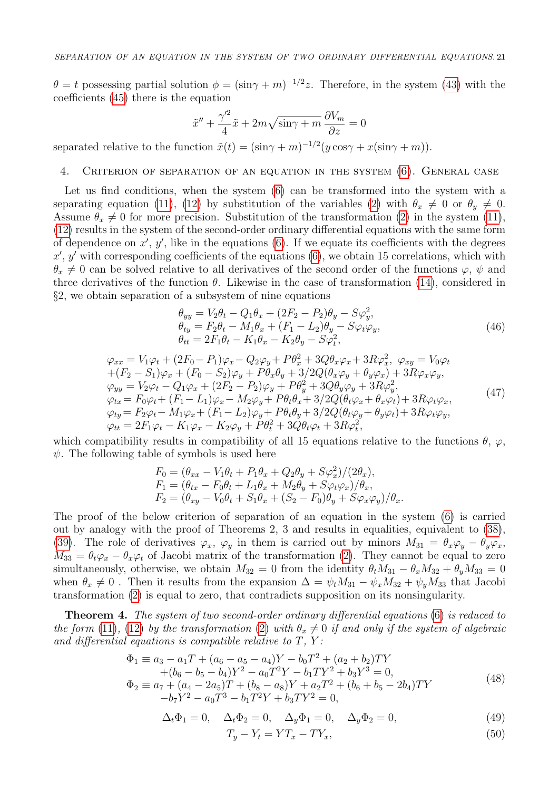$\theta = t$  possessing partial solution  $\phi = (\sin \gamma + m)^{-1/2}z$ . Therefore, in the system [\(43\)](#page-7-0) with the coefficients [\(45\)](#page-7-1) there is the equation

$$
\tilde{x}'' + \frac{\gamma'^2}{4}\tilde{x} + 2m\sqrt{\sin\gamma + m}\frac{\partial V_m}{\partial z} = 0
$$

separated relative to the function  $\tilde{x}(t) = (\sin \gamma + m)^{-1/2} (y \cos \gamma + x(\sin \gamma + m)).$ 

## 4. Criterion of separation of an equation in the system [\(6\)](#page-1-0). General case

Let us find conditions, when the system  $(6)$  can be transformed into the system with a separating equation [\(11\)](#page-2-1), [\(12\)](#page-2-2) by substitution of the variables [\(2\)](#page-0-0) with  $\theta_x \neq 0$  or  $\theta_y \neq 0$ . Assume  $\theta_x \neq 0$  for more precision. Substitution of the transformation [\(2\)](#page-0-0) in the system [\(11\)](#page-2-1), [\(12\)](#page-2-2) results in the system of the second-order ordinary differential equations with the same form of dependence on  $x'$ ,  $y'$ , like in the equations [\(6\)](#page-1-0). If we equate its coefficients with the degrees  $x', y'$  with corresponding coefficients of the equations [\(6\)](#page-1-0), we obtain 15 correlations, which with  $\theta_x \neq 0$  can be solved relative to all derivatives of the second order of the functions  $\varphi$ ,  $\psi$  and three derivatives of the function  $\theta$ . Likewise in the case of transformation [\(14\)](#page-2-4), considered in  $\S2$ , we obtain separation of a subsystem of nine equations

<span id="page-8-0"></span>
$$
\begin{aligned}\n\theta_{yy} &= V_2 \theta_t - Q_1 \theta_x + (2F_2 - P_2)\theta_y - S\varphi_y^2, \\
\theta_{ty} &= F_2 \theta_t - M_1 \theta_x + (F_1 - L_2)\theta_y - S\varphi_t \varphi_y, \\
\theta_{tt} &= 2F_1 \theta_t - K_1 \theta_x - K_2 \theta_y - S\varphi_t^2,\n\end{aligned} \tag{46}
$$

<span id="page-8-1"></span>
$$
\varphi_{xx} = V_1 \varphi_t + (2F_0 - P_1)\varphi_x - Q_2 \varphi_y + P\theta_x^2 + 3Q\theta_x \varphi_x + 3R\varphi_x^2, \ \varphi_{xy} = V_0 \varphi_t \n+ (F_2 - S_1)\varphi_x + (F_0 - S_2)\varphi_y + P\theta_x \theta_y + 3/2Q(\theta_x \varphi_y + \theta_y \varphi_x) + 3R\varphi_x \varphi_y, \n\varphi_{yy} = V_2 \varphi_t - Q_1 \varphi_x + (2F_2 - P_2)\varphi_y + P\theta_y^2 + 3Q\theta_y \varphi_y + 3R\varphi_y^2, \n\varphi_{tx} = F_0 \varphi_t + (F_1 - L_1)\varphi_x - M_2 \varphi_y + P\theta_t \theta_x + 3/2Q(\theta_t \varphi_x + \theta_x \varphi_t) + 3R\varphi_t \varphi_x, \n\varphi_{ty} = F_2 \varphi_t - M_1 \varphi_x + (F_1 - L_2)\varphi_y + P\theta_t \theta_y + 3/2Q(\theta_t \varphi_y + \theta_y \varphi_t) + 3R\varphi_t \varphi_y, \n\varphi_{tt} = 2F_1 \varphi_t - K_1 \varphi_x - K_2 \varphi_y + P\theta_t^2 + 3Q\theta_t \varphi_t + 3R\varphi_t^2,
$$
\n(47)

which compatibility results in compatibility of all 15 equations relative to the functions  $\theta$ ,  $\varphi$ ,  $\psi$ . The following table of symbols is used here

$$
F_0 = (\theta_{xx} - V_1\theta_t + P_1\theta_x + Q_2\theta_y + S\varphi_x^2)/(2\theta_x),
$$
  
\n
$$
F_1 = (\theta_{tx} - F_0\theta_t + L_1\theta_x + M_2\theta_y + S\varphi_t\varphi_x)/\theta_x,
$$
  
\n
$$
F_2 = (\theta_{xy} - V_0\theta_t + S_1\theta_x + (S_2 - F_0)\theta_y + S\varphi_x\varphi_y)/\theta_x.
$$

The proof of the below criterion of separation of an equation in the system [\(6\)](#page-1-0) is carried out by analogy with the proof of Theorems 2, 3 and results in equalities, equivalent to [\(38\)](#page-5-4), [\(39\)](#page-5-5). The role of derivatives  $\varphi_x$ ,  $\varphi_y$  in them is carried out by minors  $M_{31} = \theta_x \varphi_y - \theta_y \varphi_x$ ,  $M_{33} = \theta_t \varphi_x - \theta_x \varphi_t$  of Jacobi matrix of the transformation [\(2\)](#page-0-0). They cannot be equal to zero simultaneously, otherwise, we obtain  $M_{32} = 0$  from the identity  $\theta_t M_{31} - \theta_x M_{32} + \theta_y M_{33} = 0$ when  $\theta_x \neq 0$ . Then it results from the expansion  $\Delta = \psi_t M_{31} - \psi_x M_{32} + \psi_y M_{33}$  that Jacobi transformation [\(2\)](#page-0-0) is equal to zero, that contradicts supposition on its nonsingularity.

Theorem 4. The system of two second-order ordinary differential equations [\(6\)](#page-1-0) is reduced to the form [\(11\)](#page-2-1), [\(12\)](#page-2-2) by the transformation [\(2\)](#page-0-0) with  $\theta_x \neq 0$  if and only if the system of algebraic and differential equations is compatible relative to  $T$ ,  $Y$ :

<span id="page-8-2"></span>
$$
\Phi_1 \equiv a_3 - a_1 T + (a_6 - a_5 - a_4)Y - b_0 T^2 + (a_2 + b_2)TY \n+ (b_6 - b_5 - b_4)Y^2 - a_0 T^2 Y - b_1 T Y^2 + b_3 Y^3 = 0, \n\Phi_2 \equiv a_7 + (a_4 - 2a_5)T + (b_8 - a_8)Y + a_2 T^2 + (b_6 + b_5 - 2b_4)TY \n- b_7 Y^2 - a_0 T^3 - b_1 T^2 Y + b_3 T Y^2 = 0,
$$
\n(48)

<span id="page-8-3"></span>
$$
\Delta_t \Phi_1 = 0, \quad \Delta_t \Phi_2 = 0, \quad \Delta_y \Phi_1 = 0, \quad \Delta_y \Phi_2 = 0,
$$
\n
$$
(49)
$$

<span id="page-8-4"></span>
$$
T_y - Y_t = YT_x - TY_x,\tag{50}
$$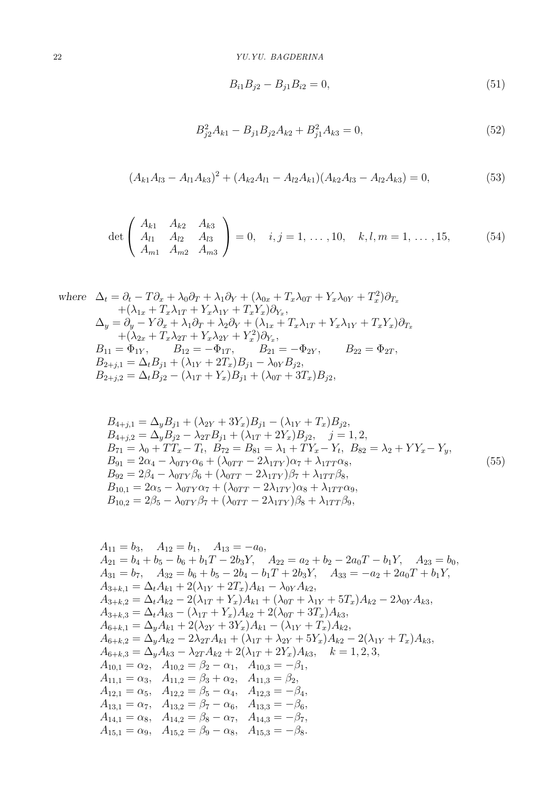<span id="page-9-1"></span>
$$
B_{i1}B_{j2} - B_{j1}B_{i2} = 0, \t\t(51)
$$

<span id="page-9-3"></span>
$$
B_{j2}^2 A_{k1} - B_{j1} B_{j2} A_{k2} + B_{j1}^2 A_{k3} = 0,
$$
\n(52)

<span id="page-9-4"></span>
$$
(A_{k1}A_{l3} - A_{l1}A_{k3})^2 + (A_{k2}A_{l1} - A_{l2}A_{k1})(A_{k2}A_{l3} - A_{l2}A_{k3}) = 0,
$$
\n(53)

<span id="page-9-2"></span>
$$
\det \begin{pmatrix} A_{k1} & A_{k2} & A_{k3} \\ A_{l1} & A_{l2} & A_{l3} \\ A_{m1} & A_{m2} & A_{m3} \end{pmatrix} = 0, \quad i, j = 1, ..., 10, \quad k, l, m = 1, ..., 15,
$$
 (54)

where 
$$
\Delta_t = \partial_t - T\partial_x + \lambda_0 \partial_T + \lambda_1 \partial_Y + (\lambda_{0x} + T_x \lambda_{0T} + Y_x \lambda_{0Y} + T_x^2) \partial_{T_x}
$$

$$
+ (\lambda_{1x} + T_x \lambda_{1T} + Y_x \lambda_{1Y} + T_x Y_x) \partial_{Y_x},
$$

$$
\Delta_y = \partial_y - Y \partial_x + \lambda_1 \partial_T + \lambda_2 \partial_Y + (\lambda_{1x} + T_x \lambda_{1T} + Y_x \lambda_{1Y} + T_x Y_x) \partial_{T_x}
$$

$$
+ (\lambda_{2x} + T_x \lambda_{2T} + Y_x \lambda_{2Y} + Y_x^2) \partial_{Y_x},
$$

$$
B_{11} = \Phi_{1Y}, \qquad B_{12} = -\Phi_{1T}, \qquad B_{21} = -\Phi_{2Y}, \qquad B_{22} = \Phi_{2T},
$$

$$
B_{2+j,1} = \Delta_t B_{j1} + (\lambda_{1Y} + 2T_x) B_{j1} - \lambda_{0Y} B_{j2},
$$

$$
B_{2+j,2} = \Delta_t B_{j2} - (\lambda_{1T} + Y_x) B_{j1} + (\lambda_{0T} + 3T_x) B_{j2},
$$

<span id="page-9-0"></span>
$$
B_{4+j,1} = \Delta_y B_{j1} + (\lambda_{2Y} + 3Y_x)B_{j1} - (\lambda_{1Y} + T_x)B_{j2},
$$
  
\n
$$
B_{4+j,2} = \Delta_y B_{j2} - \lambda_{2T} B_{j1} + (\lambda_{1T} + 2Y_x)B_{j2}, \quad j = 1, 2,
$$
  
\n
$$
B_{71} = \lambda_0 + TT_x - T_t, \quad B_{72} = B_{81} = \lambda_1 + TY_x - Y_t, \quad B_{82} = \lambda_2 + YY_x - Y_y,
$$
  
\n
$$
B_{91} = 2\alpha_4 - \lambda_{0TY}\alpha_6 + (\lambda_{0TT} - 2\lambda_{1TY})\alpha_7 + \lambda_{1TT}\alpha_8,
$$
  
\n
$$
B_{92} = 2\beta_4 - \lambda_{0TY}\beta_6 + (\lambda_{0TT} - 2\lambda_{1TY})\beta_7 + \lambda_{1TT}\beta_8,
$$
  
\n
$$
B_{10,1} = 2\alpha_5 - \lambda_{0TY}\alpha_7 + (\lambda_{0TT} - 2\lambda_{1TY})\alpha_8 + \lambda_{1TT}\alpha_9,
$$
  
\n
$$
B_{10,2} = 2\beta_5 - \lambda_{0TY}\beta_7 + (\lambda_{0TT} - 2\lambda_{1TY})\beta_8 + \lambda_{1TT}\beta_9,
$$
\n(55)

$$
A_{11} = b_3, A_{12} = b_1, A_{13} = -a_0,
$$
  
\n
$$
A_{21} = b_4 + b_5 - b_6 + b_1T - 2b_3Y, A_{22} = a_2 + b_2 - 2a_0T - b_1Y, A_{23} = b_0,
$$
  
\n
$$
A_{31} = b_7, A_{32} = b_6 + b_5 - 2b_4 - b_1T + 2b_3Y, A_{33} = -a_2 + 2a_0T + b_1Y,
$$
  
\n
$$
A_{3+k,1} = \Delta_t A_{k1} + 2(\lambda_{1Y} + 2T_x)A_{k1} - \lambda_{0Y}A_{k2},
$$
  
\n
$$
A_{3+k,2} = \Delta_t A_{k2} - 2(\lambda_{1T} + Y_x)A_{k1} + (\lambda_{0T} + \lambda_{1Y} + 5T_x)A_{k2} - 2\lambda_{0Y}A_{k3},
$$
  
\n
$$
A_{3+k,3} = \Delta_t A_{k3} - (\lambda_{1T} + Y_x)A_{k2} + 2(\lambda_{0T} + 3T_x)A_{k3},
$$
  
\n
$$
A_{6+k,1} = \Delta_y A_{k1} + 2(\lambda_{2Y} + 3Y_x)A_{k1} - (\lambda_{1Y} + T_x)A_{k2},
$$
  
\n
$$
A_{6+k,2} = \Delta_y A_{k2} - 2\lambda_{2T}A_{k1} + (\lambda_{1T} + \lambda_{2Y} + 5Y_x)A_{k2} - 2(\lambda_{1Y} + T_x)A_{k3},
$$
  
\n
$$
A_{6+k,3} = \Delta_y A_{k3} - \lambda_{2T}A_{k2} + 2(\lambda_{1T} + 2Y_x)A_{k3}, k = 1, 2, 3,
$$
  
\n
$$
A_{10,1} = \alpha_2, A_{10,2} = \beta_2 - \alpha_1, A_{10,3} = -\beta_1,
$$
  
\n
$$
A_{11,1} = \alpha_3, A_{11,2} = \beta_3 + \alpha_2, A_{11,3} = \beta_2,
$$
  
\n
$$
A_{12,1} = \alpha_5, A_{12,2} = \beta_5
$$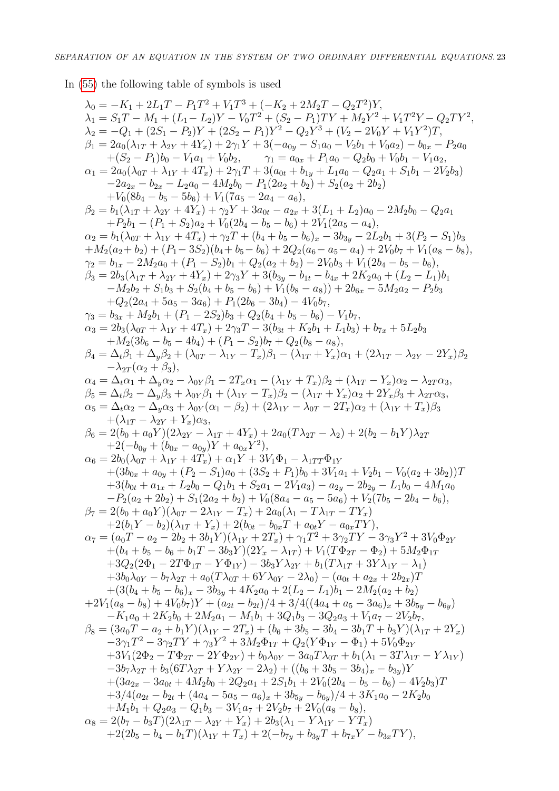In [\(55\)](#page-9-0) the following table of symbols is used

$$
\begin{array}{l} \lambda_0 = -K_1 + 2L_1T-P_1T^2 + V_1T^3 + (-K_2 + 2M_2T-Q_2T^2)Y, \\ \lambda_1 = S_1T-M_1 + (L_1-L_2)Y - V_0T^2 + (S_2-P_1)TY + M_2Y^2 + V_1T^2Y-Q_2TY^2, \\ \lambda_2 = -Q_1 + (2S_1-P_2)Y + (2S_2-P_1)Y^2 - Q_2Y^2 + (V_2-2V_0Y+V_1Y^2)T, \\ \beta_1 = 2a_6(\lambda_{1T}+\lambda_{2Y}+4Y_2)+2\gamma_1Y+3(-a_0-U_2S_4-a_0-U_2b_1+V_0a_2)-b_{0x}-Pa_6a_0+ (S_2-P_1)b_0-V_1\alpha_1+V_0b_2, \\ \alpha_1 = 2a_0L_0+ \lambda_{1Y}+4T_2)+2\gamma_1T+3(a_0-U_2W_0+b_{1y}-L_1a_0-Q_2b_0+V_0b_1-V_{12})\\ \alpha_2 = b_0(\lambda_{1T}+\lambda_{1Y}+4T_2)+2\gamma_1T+3(a_0+v_2)+S_2(a_2+2b_2)-2V_2\alpha_1+2V_2\alpha_2+2V_2\alpha_2+2V_2\alpha_2+2V_2\alpha_2+2V_2\alpha_2+2V_2\alpha_2+2V_2\alpha_2+2V_2\alpha_2+2V_2\alpha_2+2V_2\alpha_2+2V_2\alpha_2+2V_2\alpha_2+2V_2\alpha_2+2V_2\alpha_2+2V_2\alpha_2+2V_2\alpha_2+2V_2\alpha_2+2V_2\alpha_2+2V_2\alpha_2+2V_2\alpha_2+2V_2\alpha_2+2V_2\alpha_2+2V_2\alpha_2+2V_2\alpha_2+2V_2\alpha_2+2V_2\alpha_2+2V_2\alpha_2+2V_2\alpha_2+2V_2\alpha_2+2V_2\alpha_2+2V_2\alpha_2+2V_2\alpha_2+2V_2\alpha_2+2V_2\alpha_2+2V_2\alpha_2+2V_2\alpha_2+2V_2\alpha_2+2V_2\alpha_2+
$$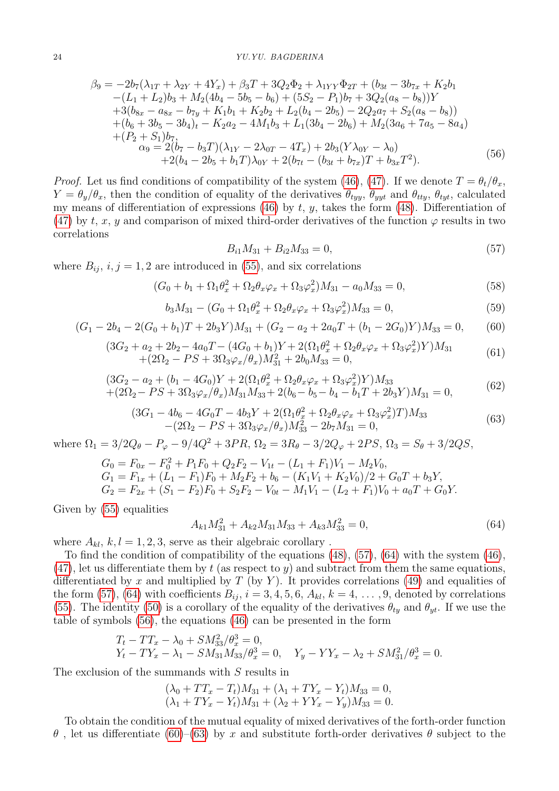<span id="page-11-2"></span>
$$
\beta_9 = -2b_7(\lambda_{1T} + \lambda_{2Y} + 4Y_x) + \beta_3 T + 3Q_2 \Phi_2 + \lambda_{1YY} \Phi_{2T} + (b_{3t} - 3b_{7x} + K_2 b_1 -(L_1 + L_2)b_3 + M_2(4b_4 - 5b_5 - b_6) + (5S_2 - P_1)b_7 + 3Q_2(a_8 - b_8))Y + 3(b_{8x} - a_{8x} - b_{7y} + K_1b_1 + K_2b_2 + L_2(b_4 - 2b_5) - 2Q_2a_7 + S_2(a_8 - b_8)) + (b_6 + 3b_5 - 3b_4)_t - K_2a_2 - 4M_1b_3 + L_1(3b_4 - 2b_6) + M_2(3a_6 + 7a_5 - 8a_4) + (P_2 + S_1)b_7, \alpha_9 = 2(b_7 - b_3T)(\lambda_{1Y} - 2\lambda_{0T} - 4T_x) + 2b_3(Y\lambda_{0Y} - \lambda_0) + 2(b_4 - 2b_5 + b_1T)\lambda_{0Y} + 2(b_{7t} - (b_{3t} + b_{7x})T + b_{3x}T^2).
$$
(56)

*Proof.* Let us find conditions of compatibility of the system [\(46\)](#page-8-0), [\(47\)](#page-8-1). If we denote  $T = \theta_t/\theta_x$ .  $Y = \theta_y/\theta_x$ , then the condition of equality of the derivatives  $\theta_{tyy}$ ,  $\theta_{yyt}$  and  $\theta_{tty}$ ,  $\theta_{tyt}$ , calculated my means of differentiation of expressions [\(46\)](#page-8-0) by t, y, takes the form [\(48\)](#page-8-2). Differentiation of [\(47\)](#page-8-1) by t, x, y and comparison of mixed third-order derivatives of the function  $\varphi$  results in two correlations

<span id="page-11-0"></span>
$$
B_{i1}M_{31} + B_{i2}M_{33} = 0,\t\t(57)
$$

where  $B_{ij}$ ,  $i, j = 1, 2$  are introduced in [\(55\)](#page-9-0), and six correlations

<span id="page-11-5"></span>
$$
(G_0 + b_1 + \Omega_1 \theta_x^2 + \Omega_2 \theta_x \varphi_x + \Omega_3 \varphi_x^2) M_{31} - a_0 M_{33} = 0,
$$
\n(58)

<span id="page-11-6"></span>
$$
b_3M_{31} - (G_0 + \Omega_1 \theta_x^2 + \Omega_2 \theta_x \varphi_x + \Omega_3 \varphi_x^2)M_{33} = 0,
$$
\n(59)

<span id="page-11-3"></span>
$$
(G_1 - 2b_4 - 2(G_0 + b_1)T + 2b_3Y)M_{31} + (G_2 - a_2 + 2a_0T + (b_1 - 2G_0)Y)M_{33} = 0,
$$
 (60)

<span id="page-11-7"></span>
$$
(3G2 + a2 + 2b2 - 4a0T - (4G0 + b1)Y + 2(\Omega_1 \theta_x^2 + \Omega_2 \theta_x \varphi_x + \Omega_3 \varphi_x^2)Y)M_{31}+(2\Omega_2 - PS + 3\Omega_3 \varphi_x/\theta_x)M_{31}^2 + 2b_0 M_{33} = 0,
$$
\n(61)

$$
(3G2 - a2 + (b1 - 4G0)Y + 2(\Omega_1 \theta_x^2 + \Omega_2 \theta_x \varphi_x + \Omega_3 \varphi_x^2)Y)M_{33}+(2\Omega_2 - PS + 3\Omega_3 \varphi_x/\theta_x)M_{31}M_{33} + 2(b_6 - b_5 - b_4 - b_1T + 2b_3Y)M_{31} = 0,
$$
\n(62)

<span id="page-11-4"></span>
$$
(3G_1 - 4b_6 - 4G_0T - 4b_3Y + 2(\Omega_1\theta_x^2 + \Omega_2\theta_x\varphi_x + \Omega_3\varphi_x^2)T)M_{33}
$$
  
-(2\Omega\_2 - PS + 3\Omega\_3\varphi\_x/\theta\_x)M\_{33}^2 - 2b\_7M\_{31} = 0, (63)

where  $\Omega_1 = 3/2 Q_\theta - P_\varphi - 9/4 Q^2 + 3PR$ ,  $\Omega_2 = 3R_\theta - 3/2 Q_\varphi + 2PS$ ,  $\Omega_3 = S_\theta + 3/2QS$ ,

$$
G_0 = F_{0x} - F_0^2 + P_1F_0 + Q_2F_2 - V_{1t} - (L_1 + F_1)V_1 - M_2V_0,
$$
  
\n
$$
G_1 = F_{1x} + (L_1 - F_1)F_0 + M_2F_2 + b_6 - (K_1V_1 + K_2V_0)/2 + G_0T + b_3Y,
$$
  
\n
$$
G_2 = F_{2x} + (S_1 - F_2)F_0 + S_2F_2 - V_{0t} - M_1V_1 - (L_2 + F_1)V_0 + a_0T + G_0Y.
$$

Given by [\(55\)](#page-9-0) equalities

<span id="page-11-1"></span>
$$
A_{k1}M_{31}^2 + A_{k2}M_{31}M_{33} + A_{k3}M_{33}^2 = 0,
$$
\n(64)

where  $A_{kl}$ ,  $k, l = 1, 2, 3$ , serve as their algebraic corollary.

To find the condition of compatibility of the equations [\(48\)](#page-8-2), [\(57\)](#page-11-0), [\(64\)](#page-11-1) with the system [\(46\)](#page-8-0),  $(47)$ , let us differentiate them by t (as respect to y) and subtract from them the same equations, differentiated by x and multiplied by  $T$  (by Y). It provides correlations [\(49\)](#page-8-3) and equalities of the form [\(57\)](#page-11-0), [\(64\)](#page-11-1) with coefficients  $B_{ij}$ ,  $i = 3, 4, 5, 6, A_{kl}$ ,  $k = 4, \ldots, 9$ , denoted by correlations [\(55\)](#page-9-0). The identity [\(50\)](#page-8-4) is a corollary of the equality of the derivatives  $\theta_{ty}$  and  $\theta_{yt}$ . If we use the table of symbols [\(56\)](#page-11-2), the equations [\(46\)](#page-8-0) can be presented in the form

$$
T_t - TT_x - \lambda_0 + SM_{33}^2 / \theta_x^3 = 0,
$$
  
 
$$
Y_t - TY_x - \lambda_1 - SM_{31}M_{33} / \theta_x^3 = 0,
$$
 
$$
Y_y - YY_x - \lambda_2 + SM_{31}^2 / \theta_x^3 = 0.
$$

The exclusion of the summands with  $S$  results in

$$
(\lambda_0 + TT_x - T_t)M_{31} + (\lambda_1 + TY_x - Y_t)M_{33} = 0,
$$
  
\n
$$
(\lambda_1 + TY_x - Y_t)M_{31} + (\lambda_2 + YY_x - Y_y)M_{33} = 0.
$$

To obtain the condition of the mutual equality of mixed derivatives of the forth-order function  $\theta$ , let us differentiate [\(60\)](#page-11-3)–[\(63\)](#page-11-4) by x and substitute forth-order derivatives  $\theta$  subject to the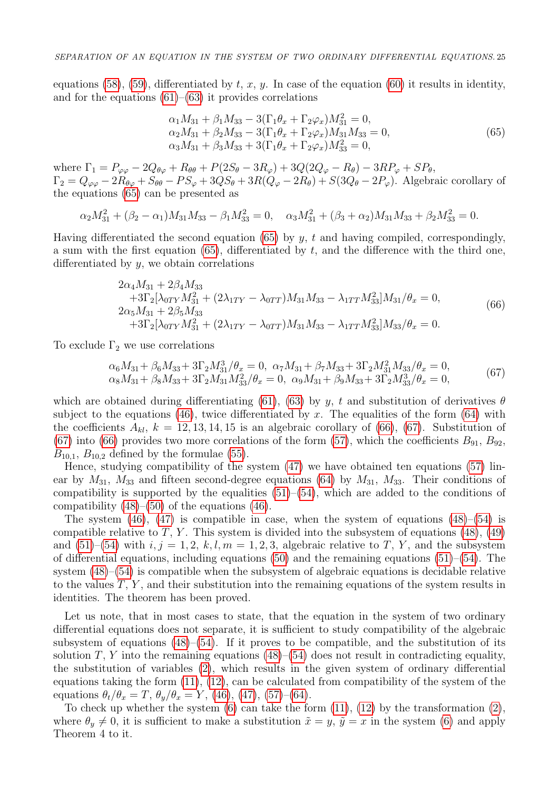equations [\(58\)](#page-11-5), [\(59\)](#page-11-6), differentiated by  $t, x, y$ . In case of the equation [\(60\)](#page-11-3) it results in identity, and for the equations  $(61)$ – $(63)$  it provides correlations

<span id="page-12-0"></span>
$$
\alpha_1 M_{31} + \beta_1 M_{33} - 3(\Gamma_1 \theta_x + \Gamma_2 \varphi_x) M_{31}^2 = 0,\n\alpha_2 M_{31} + \beta_2 M_{33} - 3(\Gamma_1 \theta_x + \Gamma_2 \varphi_x) M_{31} M_{33} = 0,\n\alpha_3 M_{31} + \beta_3 M_{33} + 3(\Gamma_1 \theta_x + \Gamma_2 \varphi_x) M_{33}^2 = 0,
$$
\n(65)

where  $\Gamma_1 = P_{\varphi\varphi} - 2Q_{\theta\varphi} + R_{\theta\theta} + P(2S_{\theta} - 3R_{\varphi}) + 3Q(2Q_{\varphi} - R_{\theta}) - 3RP_{\varphi} + SP_{\theta}$ ,  $\Gamma_2 = Q_{\varphi\varphi} - 2R_{\theta\varphi} + S_{\theta\theta} - PS_{\varphi} + 3QS_{\theta} + 3R(Q_{\varphi} - 2R_{\theta}) + S(3Q_{\theta} - 2P_{\varphi})$ . Algebraic corollary of the equations [\(65\)](#page-12-0) can be presented as

$$
\alpha_2 M_{31}^2 + (\beta_2 - \alpha_1) M_{31} M_{33} - \beta_1 M_{33}^2 = 0, \quad \alpha_3 M_{31}^2 + (\beta_3 + \alpha_2) M_{31} M_{33} + \beta_2 M_{33}^2 = 0.
$$

Having differentiated the second equation [\(65\)](#page-12-0) by  $y$ ,  $t$  and having compiled, correspondingly, a sum with the first equation  $(65)$ , differentiated by t, and the difference with the third one, differentiated by  $y$ , we obtain correlations

<span id="page-12-1"></span>
$$
2\alpha_4 M_{31} + 2\beta_4 M_{33} + 3\Gamma_2[\lambda_{0TY} M_{31}^2 + (2\lambda_{1TY} - \lambda_{0TT})M_{31}M_{33} - \lambda_{1TT}M_{33}^2]M_{31}/\theta_x = 0, 2\alpha_5 M_{31} + 2\beta_5 M_{33} + 3\Gamma_2[\lambda_{0TY}M_{31}^2 + (2\lambda_{1TY} - \lambda_{0TT})M_{31}M_{33} - \lambda_{1TT}M_{33}^2]M_{33}/\theta_x = 0.
$$
 (66)

To exclude  $\Gamma_2$  we use correlations

<span id="page-12-2"></span>
$$
\alpha_6 M_{31} + \beta_6 M_{33} + 3\Gamma_2 M_{31}^3 / \theta_x = 0, \ \alpha_7 M_{31} + \beta_7 M_{33} + 3\Gamma_2 M_{31}^2 M_{33} / \theta_x = 0, \n\alpha_8 M_{31} + \beta_8 M_{33} + 3\Gamma_2 M_{31} M_{33}^2 / \theta_x = 0, \ \alpha_9 M_{31} + \beta_9 M_{33} + 3\Gamma_2 M_{33}^3 / \theta_x = 0,
$$
\n(67)

which are obtained during differentiating [\(61\)](#page-11-7), [\(63\)](#page-11-4) by y, t and substitution of derivatives  $\theta$ subject to the equations [\(46\)](#page-8-0), twice differentiated by x. The equalities of the form [\(64\)](#page-11-1) with the coefficients  $A_{kl}$ ,  $k = 12, 13, 14, 15$  is an algebraic corollary of [\(66\)](#page-12-1), [\(67\)](#page-12-2). Substitution of [\(67\)](#page-12-2) into [\(66\)](#page-12-1) provides two more correlations of the form [\(57\)](#page-11-0), which the coefficients  $B_{91}$ ,  $B_{92}$ ,  $B_{10,1}$ ,  $B_{10,2}$  defined by the formulae [\(55\)](#page-9-0).

Hence, studying compatibility of the system [\(47\)](#page-8-1) we have obtained ten equations [\(57\)](#page-11-0) linear by  $M_{31}$ ,  $M_{33}$  and fifteen second-degree equations [\(64\)](#page-11-1) by  $M_{31}$ ,  $M_{33}$ . Their conditions of compatibility is supported by the equalities  $(51)–(54)$  $(51)–(54)$ , which are added to the conditions of compatibility  $(48)$ – $(50)$  of the equations  $(46)$ .

The system  $(46)$ ,  $(47)$  is compatible in case, when the system of equations  $(48)$ – $(54)$  is compatible relative to T, Y. This system is divided into the subsystem of equations  $(48)$ ,  $(49)$ and  $(51)$ – $(54)$  with  $i, j = 1, 2, k, l, m = 1, 2, 3$ , algebraic relative to T, Y, and the subsystem of differential equations, including equations  $(50)$  and the remaining equations  $(51)$ – $(54)$ . The system  $(48)$ – $(54)$  is compatible when the subsystem of algebraic equations is decidable relative to the values  $T, Y$ , and their substitution into the remaining equations of the system results in identities. The theorem has been proved.

Let us note, that in most cases to state, that the equation in the system of two ordinary differential equations does not separate, it is sufficient to study compatibility of the algebraic subsystem of equations  $(48)$ – $(54)$ . If it proves to be compatible, and the substitution of its solution  $T$ ,  $Y$  into the remaining equations [\(48\)](#page-8-2)–[\(54\)](#page-9-2) does not result in contradicting equality, the substitution of variables [\(2\)](#page-0-0), which results in the given system of ordinary differential equations taking the form [\(11\)](#page-2-1), [\(12\)](#page-2-2), can be calculated from compatibility of the system of the equations  $\theta_t/\theta_x = T$ ,  $\theta_y/\theta_x = Y$ , [\(46\)](#page-8-0), [\(47\)](#page-8-1), [\(57\)](#page-11-0)–[\(64\)](#page-11-1).

To check up whether the system  $(6)$  can take the form  $(11)$ ,  $(12)$  by the transformation  $(2)$ , where  $\theta_y \neq 0$ , it is sufficient to make a substitution  $\tilde{x} = y$ ,  $\tilde{y} = x$  in the system [\(6\)](#page-1-0) and apply Theorem 4 to it.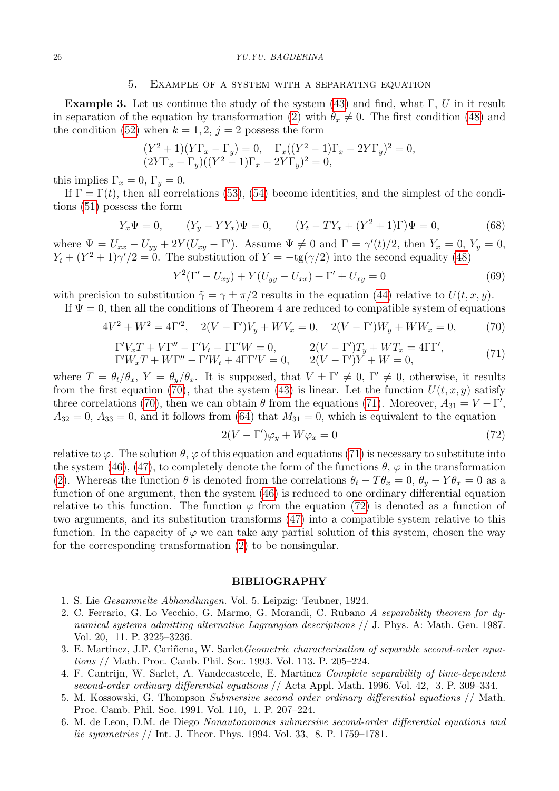#### 26 YU.YU. BAGDERINA

#### 5. Example of a system with a separating equation

**Example 3.** Let us continue the study of the system [\(43\)](#page-7-0) and find, what  $\Gamma$ , U in it result in separation of the equation by transformation [\(2\)](#page-0-0) with  $\theta_x \neq 0$ . The first condition [\(48\)](#page-8-2) and the condition [\(52\)](#page-9-3) when  $k = 1, 2, j = 2$  possess the form

$$
(Y^{2} + 1)(Y\Gamma_{x} - \Gamma_{y}) = 0, \quad \Gamma_{x}((Y^{2} - 1)\Gamma_{x} - 2Y\Gamma_{y})^{2} = 0,
$$
  

$$
(2Y\Gamma_{x} - \Gamma_{y})((Y^{2} - 1)\Gamma_{x} - 2Y\Gamma_{y})^{2} = 0,
$$

this implies  $\Gamma_x = 0$ ,  $\Gamma_y = 0$ .

If  $\Gamma = \Gamma(t)$ , then all correlations [\(53\)](#page-9-4), [\(54\)](#page-9-2) become identities, and the simplest of the conditions [\(51\)](#page-9-1) possess the form

$$
Y_x \Psi = 0, \qquad (Y_y - YY_x)\Psi = 0, \qquad (Y_t - TY_x + (Y^2 + 1)\Gamma)\Psi = 0,
$$
\n(68)

where  $\Psi = U_{xx} - U_{yy} + 2Y(U_{xy} - \Gamma')$ . Assume  $\Psi \neq 0$  and  $\Gamma = \gamma'(t)/2$ , then  $Y_x = 0$ ,  $Y_y = 0$ ,  $Y_t + (Y^2 + 1)\gamma/2 = 0$ . The substitution of  $Y = -tg(\gamma/2)$  into the second equality [\(48\)](#page-8-2)

$$
Y^{2}(\Gamma' - U_{xy}) + Y(U_{yy} - U_{xx}) + \Gamma' + U_{xy} = 0
$$
\n(69)

with precision to substitution  $\tilde{\gamma} = \gamma \pm \pi/2$  results in the equation [\(44\)](#page-7-2) relative to  $U(t, x, y)$ .

If  $\Psi = 0$ , then all the conditions of Theorem 4 are reduced to compatible system of equations

<span id="page-13-6"></span>
$$
4V^{2} + W^{2} = 4\Gamma^{2}, \quad 2(V - \Gamma')V_{y} + WV_{x} = 0, \quad 2(V - \Gamma')W_{y} + WW_{x} = 0,
$$
 (70)

<span id="page-13-7"></span>
$$
\Gamma'V_xT + V\Gamma'' - \Gamma'V_t - \Gamma\Gamma'W = 0, \qquad 2(V - \Gamma')T_y + WT_x = 4\Gamma\Gamma',\n\Gamma'W_xT + W\Gamma'' - \Gamma'W_t + 4\Gamma\Gamma'V = 0, \qquad 2(V - \Gamma')Y + W = 0,
$$
\n(71)

where  $T = \theta_t/\theta_x$ ,  $Y = \theta_y/\theta_x$ . It is supposed, that  $V \pm \Gamma' \neq 0$ ,  $\Gamma' \neq 0$ , otherwise, it results from the first equation [\(70\)](#page-13-6), that the system [\(43\)](#page-7-0) is linear. Let the function  $U(t, x, y)$  satisfy three correlations [\(70\)](#page-13-6), then we can obtain  $\theta$  from the equations [\(71\)](#page-13-7). Moreover,  $A_{31} = V - \Gamma'$ ,  $A_{32} = 0$ ,  $A_{33} = 0$ , and it follows from [\(64\)](#page-11-1) that  $M_{31} = 0$ , which is equivalent to the equation

<span id="page-13-8"></span>
$$
2(V - \Gamma')\varphi_y + W\varphi_x = 0\tag{72}
$$

relative to  $\varphi$ . The solution  $\theta$ ,  $\varphi$  of this equation and equations [\(71\)](#page-13-7) is necessary to substitute into the system [\(46\)](#page-8-0), [\(47\)](#page-8-1), to completely denote the form of the functions  $\theta$ ,  $\varphi$  in the transformation [\(2\)](#page-0-0). Whereas the function  $\theta$  is denoted from the correlations  $\theta_t - T\theta_x = 0$ ,  $\theta_y - Y\theta_x = 0$  as a function of one argument, then the system [\(46\)](#page-8-0) is reduced to one ordinary differential equation relative to this function. The function  $\varphi$  from the equation [\(72\)](#page-13-8) is denoted as a function of two arguments, and its substitution transforms [\(47\)](#page-8-1) into a compatible system relative to this function. In the capacity of  $\varphi$  we can take any partial solution of this system, chosen the way for the corresponding transformation [\(2\)](#page-0-0) to be nonsingular.

#### BIBLIOGRAPHY

- <span id="page-13-0"></span>1. S. Lie Gesammelte Abhandlungen. Vol. 5. Leipzig: Teubner, 1924.
- <span id="page-13-1"></span>2. C. Ferrario, G. Lo Vecchio, G. Marmo, G. Morandi, C. Rubano A separability theorem for dynamical systems admitting alternative Lagrangian descriptions // J. Phys. A: Math. Gen. 1987. Vol. 20, 11. P. 3225–3236.
- <span id="page-13-2"></span>3. E. Martinez, J.F. Cariñena, W. Sarlet Geometric characterization of separable second-order equations // Math. Proc. Camb. Phil. Soc. 1993. Vol. 113. P. 205–224.
- <span id="page-13-3"></span>4. F. Cantrijn, W. Sarlet, A. Vandecasteele, E. Martinez Complete separability of time-dependent second-order ordinary differential equations // Acta Appl. Math. 1996. Vol. 42, 3. P. 309–334.
- <span id="page-13-4"></span>5. M. Kossowski, G. Thompson Submersive second order ordinary differential equations // Math. Proc. Camb. Phil. Soc. 1991. Vol. 110, 1. P. 207–224.
- <span id="page-13-5"></span>6. M. de Leon, D.M. de Diego Nonautonomous submersive second-order differential equations and lie symmetries // Int. J. Theor. Phys. 1994. Vol. 33, 8. P. 1759–1781.